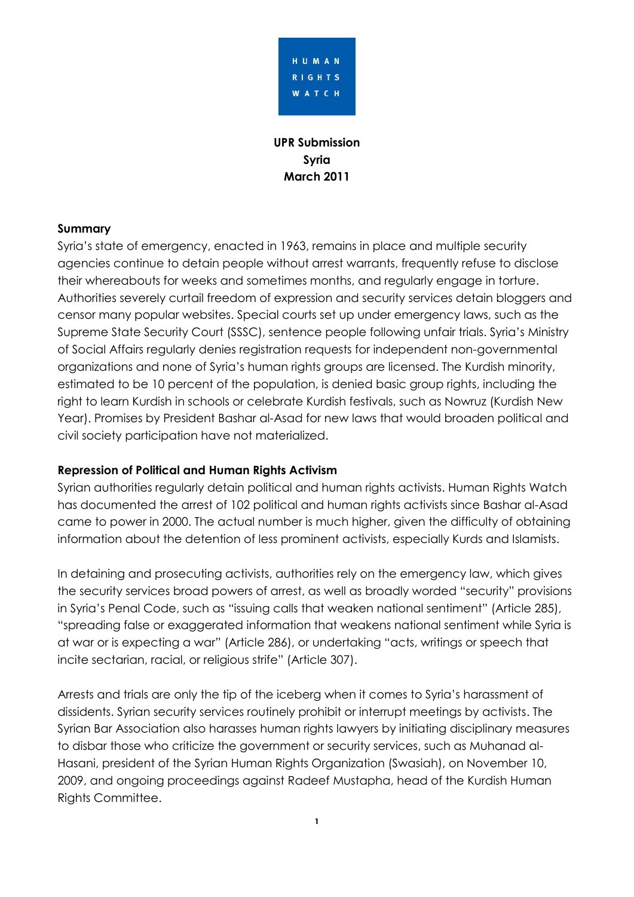

**UPR Submission Syria March 2011**

## **Summary**

Syria's state of emergency, enacted in 1963, remains in place and multiple security agencies continue to detain people without arrest warrants, frequently refuse to disclose their whereabouts for weeks and sometimes months, and regularly engage in torture. Authorities severely curtail freedom of expression and security services detain bloggers and censor many popular websites. Special courts set up under emergency laws, such as the Supreme State Security Court (SSSC), sentence people following unfair trials. Syria's Ministry of Social Affairs regularly denies registration requests for independent non-governmental organizations and none of Syria's human rights groups are licensed. The Kurdish minority, estimated to be 10 percent of the population, is denied basic group rights, including the right to learn Kurdish in schools or celebrate Kurdish festivals, such as Nowruz (Kurdish New Year). Promises by President Bashar al-Asad for new laws that would broaden political and civil society participation have not materialized.

## **Repression of Political and Human Rights Activism**

Syrian authorities regularly detain political and human rights activists. Human Rights Watch has documented the arrest of 102 political and human rights activists since Bashar al-Asad came to power in 2000. The actual number is much higher, given the difficulty of obtaining information about the detention of less prominent activists, especially Kurds and Islamists.

In detaining and prosecuting activists, authorities rely on the emergency law, which gives the security services broad powers of arrest, as well as broadly worded "security" provisions in Syria's Penal Code, such as "issuing calls that weaken national sentiment" (Article 285), ―spreading false or exaggerated information that weakens national sentiment while Syria is at war or is expecting a war" (Article 286), or undertaking "acts, writings or speech that incite sectarian, racial, or religious strife" (Article 307).

Arrests and trials are only the tip of the iceberg when it comes to Syria's harassment of dissidents. Syrian security services routinely prohibit or interrupt meetings by activists. The Syrian Bar Association also harasses human rights lawyers by initiating disciplinary measures to disbar those who criticize the government or security services, such as Muhanad al-Hasani, president of the Syrian Human Rights Organization (Swasiah), on November 10, 2009, and ongoing proceedings against Radeef Mustapha, head of the Kurdish Human Rights Committee.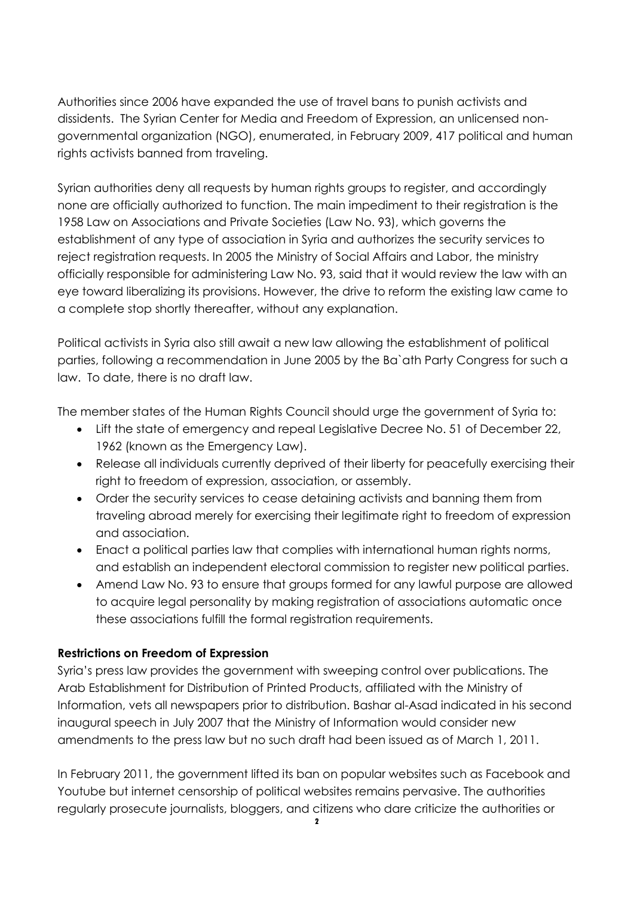Authorities since 2006 have expanded the use of travel bans to punish activists and dissidents. The Syrian Center for Media and Freedom of Expression, an unlicensed nongovernmental organization (NGO), enumerated, in February 2009, 417 political and human rights activists banned from traveling.

Syrian authorities deny all requests by human rights groups to register, and accordingly none are officially authorized to function. The main impediment to their registration is the 1958 Law on Associations and Private Societies (Law No. 93), which governs the establishment of any type of association in Syria and authorizes the security services to reject registration requests. In 2005 the Ministry of Social Affairs and Labor, the ministry officially responsible for administering Law No. 93, said that it would review the law with an eye toward liberalizing its provisions. However, the drive to reform the existing law came to a complete stop shortly thereafter, without any explanation.

Political activists in Syria also still await a new law allowing the establishment of political parties, following a recommendation in June 2005 by the Ba`ath Party Congress for such a law. To date, there is no draft law.

The member states of the Human Rights Council should urge the government of Syria to:

- Lift the state of emergency and repeal Legislative Decree No. 51 of December 22, 1962 (known as the Emergency Law).
- Release all individuals currently deprived of their liberty for peacefully exercising their right to freedom of expression, association, or assembly.
- Order the security services to cease detaining activists and banning them from traveling abroad merely for exercising their legitimate right to freedom of expression and association.
- Enact a political parties law that complies with international human rights norms, and establish an independent electoral commission to register new political parties.
- Amend Law No. 93 to ensure that groups formed for any lawful purpose are allowed to acquire legal personality by making registration of associations automatic once these associations fulfill the formal registration requirements.

# **Restrictions on Freedom of Expression**

Syria's press law provides the government with sweeping control over publications. The Arab Establishment for Distribution of Printed Products, affiliated with the Ministry of Information, vets all newspapers prior to distribution. Bashar al-Asad indicated in his second inaugural speech in July 2007 that the Ministry of Information would consider new amendments to the press law but no such draft had been issued as of March 1, 2011.

In February 2011, the government lifted its ban on popular websites such as Facebook and Youtube but internet censorship of political websites remains pervasive. The authorities regularly prosecute journalists, bloggers, and citizens who dare criticize the authorities or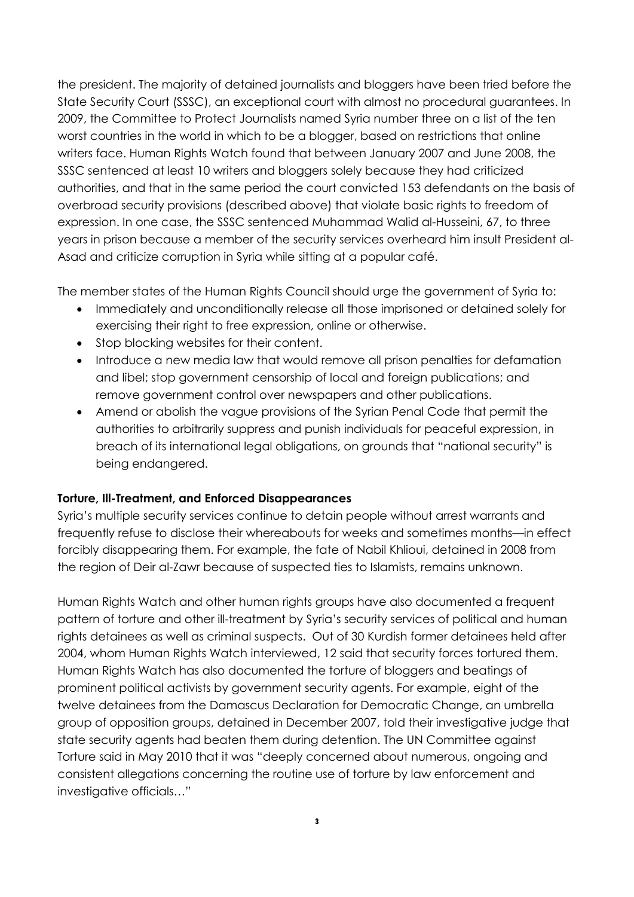the president. The majority of detained journalists and bloggers have been tried before the State Security Court (SSSC), an exceptional court with almost no procedural guarantees. In 2009, the Committee to Protect Journalists named Syria number three on a list of the ten worst countries in the world in which to be a blogger, based on restrictions that online writers face. Human Rights Watch found that between January 2007 and June 2008, the SSSC sentenced at least 10 writers and bloggers solely because they had criticized authorities, and that in the same period the court convicted 153 defendants on the basis of overbroad security provisions (described above) that violate basic rights to freedom of expression. In one case, the SSSC sentenced Muhammad Walid al-Husseini, 67, to three years in prison because a member of the security services overheard him insult President al-Asad and criticize corruption in Syria while sitting at a popular café.

The member states of the Human Rights Council should urge the government of Syria to:

- Immediately and unconditionally release all those imprisoned or detained solely for exercising their right to free expression, online or otherwise.
- Stop blocking websites for their content.
- Introduce a new media law that would remove all prison penalties for defamation and libel; stop government censorship of local and foreign publications; and remove government control over newspapers and other publications.
- Amend or abolish the vague provisions of the Syrian Penal Code that permit the authorities to arbitrarily suppress and punish individuals for peaceful expression, in breach of its international legal obligations, on grounds that "national security" is being endangered.

#### **Torture, Ill-Treatment, and Enforced Disappearances**

Syria's multiple security services continue to detain people without arrest warrants and frequently refuse to disclose their whereabouts for weeks and sometimes months—in effect forcibly disappearing them. For example, the fate of Nabil Khlioui, detained in 2008 from the region of Deir al-Zawr because of suspected ties to Islamists, remains unknown.

Human Rights Watch and other human rights groups have also documented a frequent pattern of torture and other ill-treatment by Syria's security services of political and human rights detainees as well as criminal suspects. Out of 30 Kurdish former detainees held after 2004, whom Human Rights Watch interviewed, 12 said that security forces tortured them. Human Rights Watch has also documented the torture of bloggers and beatings of prominent political activists by government security agents. For example, eight of the twelve detainees from the Damascus Declaration for Democratic Change, an umbrella group of opposition groups, detained in December 2007, told their investigative judge that state security agents had beaten them during detention. The UN Committee against Torture said in May 2010 that it was "deeply concerned about numerous, ongoing and consistent allegations concerning the routine use of torture by law enforcement and investigative officials..."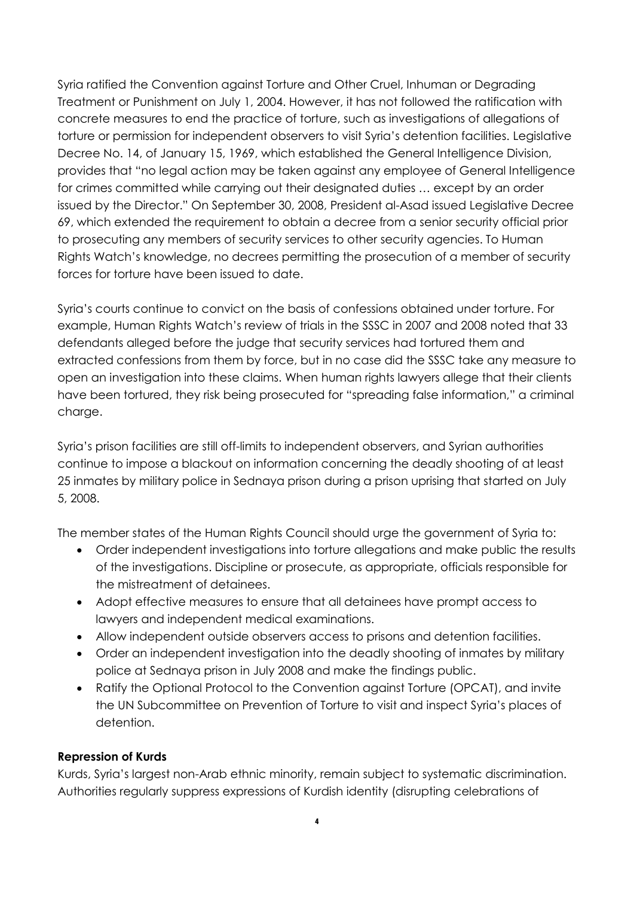Syria ratified the Convention against Torture and Other Cruel, Inhuman or Degrading Treatment or Punishment on July 1, 2004. However, it has not followed the ratification with concrete measures to end the practice of torture, such as investigations of allegations of torture or permission for independent observers to visit Syria's detention facilities. Legislative Decree No. 14, of January 15, 1969, which established the General Intelligence Division, provides that "no legal action may be taken against any employee of General Intelligence for crimes committed while carrying out their designated duties … except by an order issued by the Director." On September 30, 2008, President al-Asad issued Legislative Decree 69, which extended the requirement to obtain a decree from a senior security official prior to prosecuting any members of security services to other security agencies. To Human Rights Watch's knowledge, no decrees permitting the prosecution of a member of security forces for torture have been issued to date.

Syria's courts continue to convict on the basis of confessions obtained under torture. For example, Human Rights Watch's review of trials in the SSSC in 2007 and 2008 noted that 33 defendants alleged before the judge that security services had tortured them and extracted confessions from them by force, but in no case did the SSSC take any measure to open an investigation into these claims. When human rights lawyers allege that their clients have been tortured, they risk being prosecuted for "spreading false information," a criminal charge.

Syria's prison facilities are still off-limits to independent observers, and Syrian authorities continue to impose a blackout on information concerning the deadly shooting of at least 25 inmates by military police in Sednaya prison during a prison uprising that started on July 5, 2008.

The member states of the Human Rights Council should urge the government of Syria to:

- Order independent investigations into torture allegations and make public the results of the investigations. Discipline or prosecute, as appropriate, officials responsible for the mistreatment of detainees.
- Adopt effective measures to ensure that all detainees have prompt access to lawyers and independent medical examinations.
- Allow independent outside observers access to prisons and detention facilities.
- Order an independent investigation into the deadly shooting of inmates by military police at Sednaya prison in July 2008 and make the findings public.
- Ratify the Optional Protocol to the Convention against Torture (OPCAT), and invite the UN Subcommittee on Prevention of Torture to visit and inspect Syria's places of detention.

# **Repression of Kurds**

Kurds, Syria's largest non-Arab ethnic minority, remain subject to systematic discrimination. Authorities regularly suppress expressions of Kurdish identity (disrupting celebrations of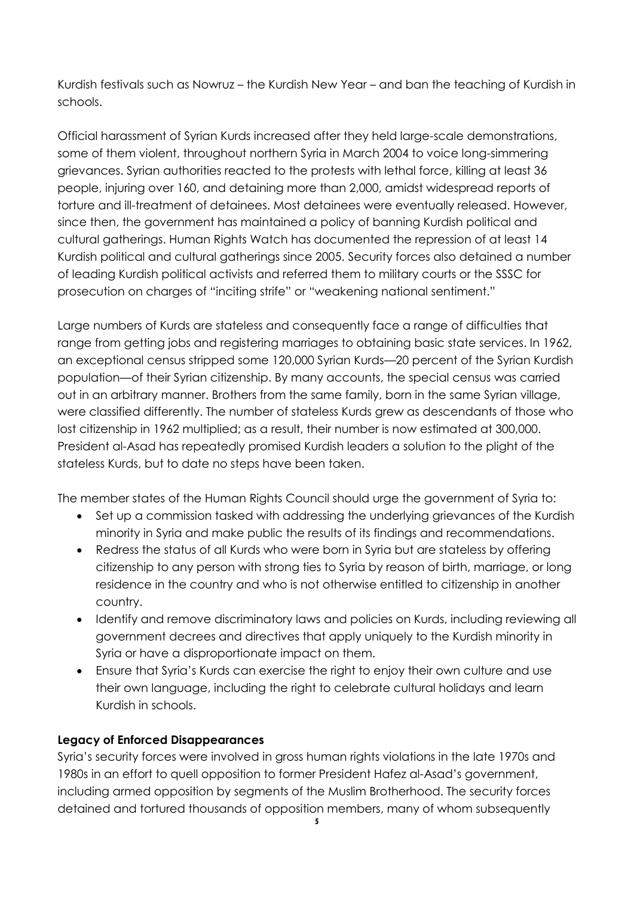Kurdish festivals such as Nowruz – the Kurdish New Year – and ban the teaching of Kurdish in schools.

Official harassment of Syrian Kurds increased after they held large-scale demonstrations, some of them violent, throughout northern Syria in March 2004 to voice long-simmering grievances. Syrian authorities reacted to the protests with lethal force, killing at least 36 people, injuring over 160, and detaining more than 2,000, amidst widespread reports of torture and ill-treatment of detainees. Most detainees were eventually released. However, since then, the government has maintained a policy of banning Kurdish political and cultural gatherings. Human Rights Watch has documented the repression of at least 14 Kurdish political and cultural gatherings since 2005. Security forces also detained a number of leading Kurdish political activists and referred them to military courts or the SSSC for prosecution on charges of "inciting strife" or "weakening national sentiment."

Large numbers of Kurds are stateless and consequently face a range of difficulties that range from getting jobs and registering marriages to obtaining basic state services. In 1962, an exceptional census stripped some 120,000 Syrian Kurds—20 percent of the Syrian Kurdish population—of their Syrian citizenship. By many accounts, the special census was carried out in an arbitrary manner. Brothers from the same family, born in the same Syrian village, were classified differently. The number of stateless Kurds grew as descendants of those who lost citizenship in 1962 multiplied; as a result, their number is now estimated at 300,000. President al-Asad has repeatedly promised Kurdish leaders a solution to the plight of the stateless Kurds, but to date no steps have been taken.

The member states of the Human Rights Council should urge the government of Syria to:

- Set up a commission tasked with addressing the underlying grievances of the Kurdish minority in Syria and make public the results of its findings and recommendations.
- Redress the status of all Kurds who were born in Syria but are stateless by offering citizenship to any person with strong ties to Syria by reason of birth, marriage, or long residence in the country and who is not otherwise entitled to citizenship in another country.
- Identify and remove discriminatory laws and policies on Kurds, including reviewing all government decrees and directives that apply uniquely to the Kurdish minority in Syria or have a disproportionate impact on them.
- Ensure that Syria's Kurds can exercise the right to enjoy their own culture and use their own language, including the right to celebrate cultural holidays and learn Kurdish in schools.

# **Legacy of Enforced Disappearances**

Syria's security forces were involved in gross human rights violations in the late 1970s and 1980s in an effort to quell opposition to former President Hafez al-Asad's government, including armed opposition by segments of the Muslim Brotherhood. The security forces detained and tortured thousands of opposition members, many of whom subsequently